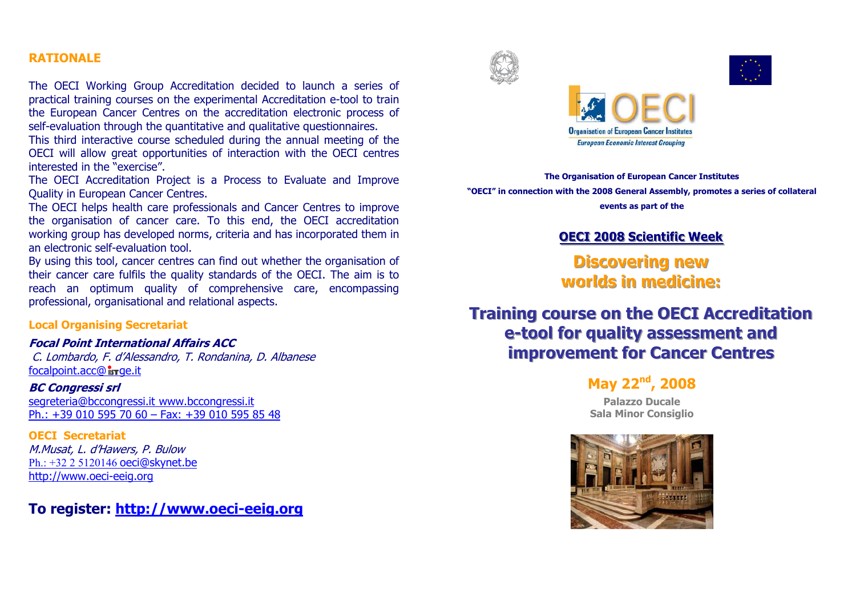### **RATIONALE**

The OECI Working Group Accreditation decided to launch a series of practical training courses on the experimental Accreditation e-tool to train the European Cancer Centres on the accreditation electronic process of self-evaluation through the quantitative and qualitative questionnaires.

This third interactive course scheduled during the annual meeting of the OECI will allow great opportunities of interaction with the OECI centres interested in the "exercise".

The OECI Accreditation Project is a Process to Evaluate and Improve **Quality in European Cancer Centres.** 

The OECI helps health care professionals and Cancer Centres to improve the organisation of cancer care. To this end, the OECI accreditation working group has developed norms, criteria and has incorporated them in an electronic self-evaluation tool.

By using this tool, cancer centres can find out whether the organisation of their cancer care fulfils the quality standards of the OECI. The aim is to reach an optimum quality of comprehensive care, encompassing professional, organisational and relational aspects.

#### **Local Organising Secretariat**

### **Focal Point International Affairs ACC**

C. Lombardo, F. d'Alessandro, T. Rondanina, D. Albanese focalpoint.acc@isrge.it

#### **BC Congressi srl**

segreteria@bccongressi.it www.bccongressi.it Ph.: +39 010 595 70 60 - Fax: +39 010 595 85 48

**OECI Secretariat** M.Musat, L. d'Hawers, P. Bulow  $Ph: +32 2 5120146$  oeci@skynet.be http://www.oeci-eeig.org

### To register: http://www.oeci-eeig.org





**The Organisation of European Cancer Institutes** "OECI" in connection with the 2008 General Assembly, promotes a series of collateral events as part of the

### **OECI 2008 Scientific Week**

**Discovering new** worlds in medicine:

## **Training course on the OECI Accreditation** e-tool for quality assessment and **improvement for Cancer Centres**

## May 22<sup>nd</sup>, 2008

**Palazzo Ducale Sala Minor Consiglio**